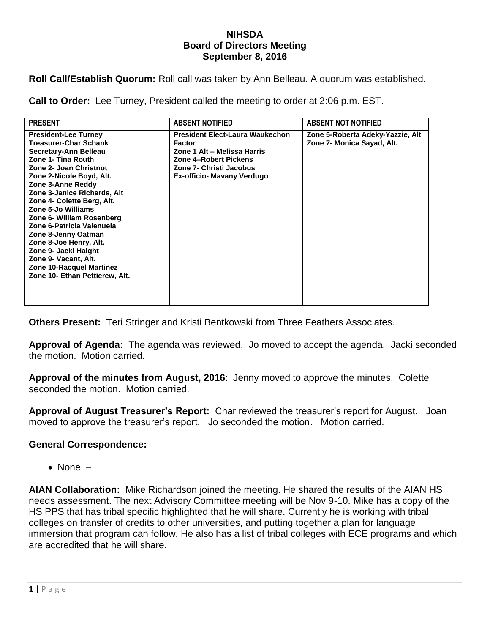## **NIHSDA Board of Directors Meeting September 8, 2016**

**Roll Call/Establish Quorum:** Roll call was taken by Ann Belleau. A quorum was established.

**Call to Order:** Lee Turney, President called the meeting to order at 2:06 p.m. EST.

| <b>PRESENT</b>                                                                                                                                                                                                                                                                                                                                                                                                                                                                                           | <b>ABSENT NOTIFIED</b>                                                                                                                                                          | <b>ABSENT NOT NOTIFIED</b>                                     |
|----------------------------------------------------------------------------------------------------------------------------------------------------------------------------------------------------------------------------------------------------------------------------------------------------------------------------------------------------------------------------------------------------------------------------------------------------------------------------------------------------------|---------------------------------------------------------------------------------------------------------------------------------------------------------------------------------|----------------------------------------------------------------|
| <b>President-Lee Turney</b><br><b>Treasurer-Char Schank</b><br>Secretary-Ann Belleau<br>Zone 1- Tina Routh<br>Zone 2- Joan Christnot<br>Zone 2-Nicole Boyd, Alt.<br>Zone 3-Anne Reddy<br>Zone 3-Janice Richards, Alt<br>Zone 4- Colette Berg, Alt.<br>Zone 5-Jo Williams<br>Zone 6- William Rosenberg<br>Zone 6-Patricia Valenuela<br>Zone 8-Jenny Oatman<br>Zone 8-Joe Henry, Alt.<br>Zone 9- Jacki Haight<br>Zone 9- Vacant, Alt.<br><b>Zone 10-Racquel Martinez</b><br>Zone 10- Ethan Petticrew, Alt. | <b>President Elect-Laura Waukechon</b><br><b>Factor</b><br>Zone 1 Alt - Melissa Harris<br><b>Zone 4-Robert Pickens</b><br>Zone 7- Christi Jacobus<br>Ex-officio- Mavany Verdugo | Zone 5-Roberta Adeky-Yazzie, Alt<br>Zone 7- Monica Sayad, Alt. |

**Others Present:** Teri Stringer and Kristi Bentkowski from Three Feathers Associates.

**Approval of Agenda:** The agenda was reviewed. Jo moved to accept the agenda. Jacki seconded the motion. Motion carried.

**Approval of the minutes from August, 2016**: Jenny moved to approve the minutes. Colette seconded the motion. Motion carried.

**Approval of August Treasurer's Report:** Char reviewed the treasurer's report for August. Joan moved to approve the treasurer's report. Jo seconded the motion. Motion carried.

## **General Correspondence:**

 $\bullet$  None  $-$ 

**AIAN Collaboration:** Mike Richardson joined the meeting. He shared the results of the AIAN HS needs assessment. The next Advisory Committee meeting will be Nov 9-10. Mike has a copy of the HS PPS that has tribal specific highlighted that he will share. Currently he is working with tribal colleges on transfer of credits to other universities, and putting together a plan for language immersion that program can follow. He also has a list of tribal colleges with ECE programs and which are accredited that he will share.